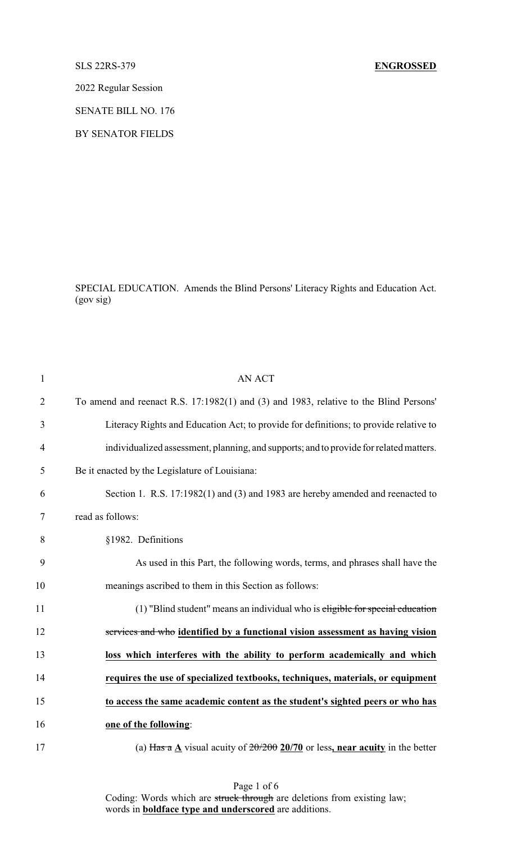## SLS 22RS-379 **ENGROSSED**

2022 Regular Session

SENATE BILL NO. 176

BY SENATOR FIELDS

SPECIAL EDUCATION. Amends the Blind Persons' Literacy Rights and Education Act. (gov sig)

| $\mathbf{1}$   | <b>AN ACT</b>                                                                          |
|----------------|----------------------------------------------------------------------------------------|
| $\overline{2}$ | To amend and reenact R.S. 17:1982(1) and (3) and 1983, relative to the Blind Persons'  |
| 3              | Literacy Rights and Education Act; to provide for definitions; to provide relative to  |
| $\overline{4}$ | individualized assessment, planning, and supports; and to provide for related matters. |
| 5              | Be it enacted by the Legislature of Louisiana:                                         |
| 6              | Section 1. R.S. 17:1982(1) and (3) and 1983 are hereby amended and reenacted to        |
| 7              | read as follows:                                                                       |
| 8              | §1982. Definitions                                                                     |
| 9              | As used in this Part, the following words, terms, and phrases shall have the           |
| 10             | meanings ascribed to them in this Section as follows:                                  |
| 11             | (1) "Blind student" means an individual who is eligible for special education          |
| 12             | services and who identified by a functional vision assessment as having vision         |
| 13             | loss which interferes with the ability to perform academically and which               |
| 14             | requires the use of specialized textbooks, techniques, materials, or equipment         |
| 15             | to access the same academic content as the student's sighted peers or who has          |
| 16             | one of the following:                                                                  |
| 17             | (a) Has a A visual acuity of $20/200$ 20/70 or less, near acuity in the better         |

Page 1 of 6 Coding: Words which are struck through are deletions from existing law; words in **boldface type and underscored** are additions.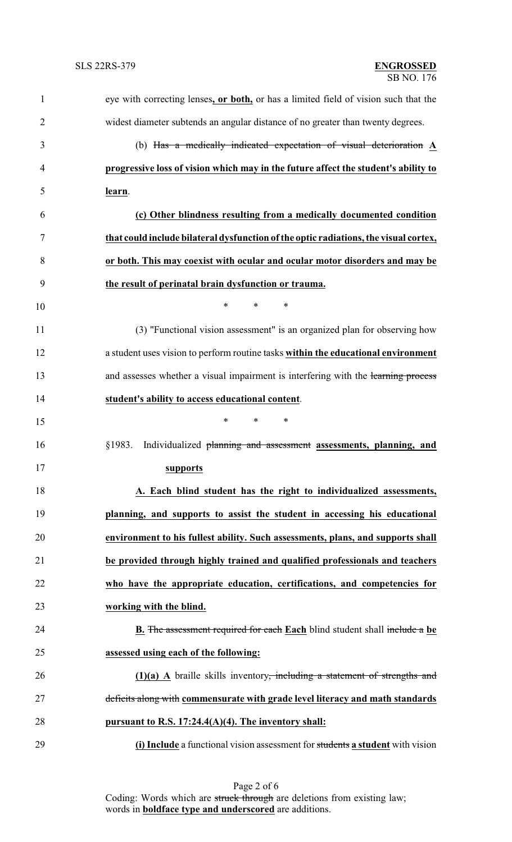| $\mathbf{1}$   | eye with correcting lenses, or both, or has a limited field of vision such that the     |
|----------------|-----------------------------------------------------------------------------------------|
| $\overline{2}$ | widest diameter subtends an angular distance of no greater than twenty degrees.         |
| 3              | (b) Has a medically indicated expectation of visual deterioration A                     |
| $\overline{4}$ | progressive loss of vision which may in the future affect the student's ability to      |
| 5              | learn.                                                                                  |
| 6              | (c) Other blindness resulting from a medically documented condition                     |
| 7              | that could include bilateral dysfunction of the optic radiations, the visual cortex,    |
| 8              | or both. This may coexist with ocular and ocular motor disorders and may be             |
| 9              | the result of perinatal brain dysfunction or trauma.                                    |
| 10             | $\ast$<br>$\ast$<br>∗                                                                   |
| 11             | (3) "Functional vision assessment" is an organized plan for observing how               |
| 12             | a student uses vision to perform routine tasks within the educational environment       |
| 13             | and assesses whether a visual impairment is interfering with the learning process       |
| 14             | student's ability to access educational content.                                        |
| 15             | $\ast$<br>*<br>∗                                                                        |
| 16             | Individualized planning and assessment assessments, planning, and<br>§1983.             |
| 17             | supports                                                                                |
| 18             | A. Each blind student has the right to individualized assessments,                      |
| 19             | planning, and supports to assist the student in accessing his educational               |
| 20             | environment to his fullest ability. Such assessments, plans, and supports shall         |
| 21             | be provided through highly trained and qualified professionals and teachers             |
| 22             | who have the appropriate education, certifications, and competencies for                |
| 23             | working with the blind.                                                                 |
| 24             | <b>B.</b> The assessment required for each Each blind student shall include a be        |
| 25             | assessed using each of the following:                                                   |
| 26             | $(1)(a)$ A braille skills inventory <del>, including a statement of strengths and</del> |
| 27             | deficits along with commensurate with grade level literacy and math standards           |
| 28             | pursuant to R.S. 17:24.4(A)(4). The inventory shall:                                    |
| 29             | (i) Include a functional vision assessment for students a student with vision           |

Page 2 of 6 Coding: Words which are struck through are deletions from existing law; words in **boldface type and underscored** are additions.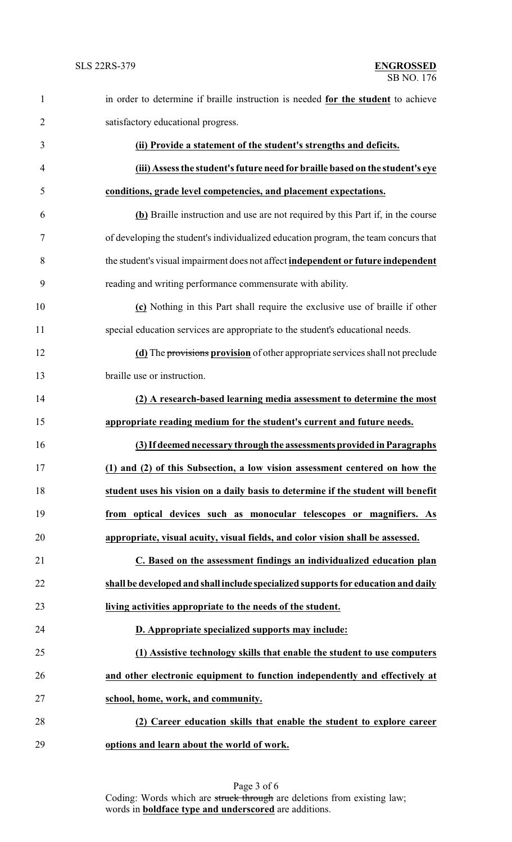| $\mathbf{1}$   | in order to determine if braille instruction is needed for the student to achieve   |
|----------------|-------------------------------------------------------------------------------------|
| $\overline{2}$ | satisfactory educational progress.                                                  |
| 3              | (ii) Provide a statement of the student's strengths and deficits.                   |
| $\overline{4}$ | (iii) Assess the student's future need for braille based on the student's eye       |
| 5              | conditions, grade level competencies, and placement expectations.                   |
| 6              | (b) Braille instruction and use are not required by this Part if, in the course     |
| $\tau$         | of developing the student's individualized education program, the team concurs that |
| 8              | the student's visual impairment does not affect independent or future independent   |
| 9              | reading and writing performance commensurate with ability.                          |
| 10             | (c) Nothing in this Part shall require the exclusive use of braille if other        |
| 11             | special education services are appropriate to the student's educational needs.      |
| 12             | (d) The provisions provision of other appropriate services shall not preclude       |
| 13             | braille use or instruction.                                                         |
| 14             | (2) A research-based learning media assessment to determine the most                |
| 15             | appropriate reading medium for the student's current and future needs.              |
| 16             | (3) If deemed necessary through the assessments provided in Paragraphs              |
| 17             | (1) and (2) of this Subsection, a low vision assessment centered on how the         |
| 18             | student uses his vision on a daily basis to determine if the student will benefit   |
| 19             | from optical devices such as monocular telescopes or magnifiers. As                 |
| 20             | appropriate, visual acuity, visual fields, and color vision shall be assessed.      |
| 21             | C. Based on the assessment findings an individualized education plan                |
| 22             | shall be developed and shall include specialized supports for education and daily   |
| 23             | living activities appropriate to the needs of the student.                          |
| 24             | D. Appropriate specialized supports may include:                                    |
| 25             | (1) Assistive technology skills that enable the student to use computers            |
| 26             | and other electronic equipment to function independently and effectively at         |
| 27             | school, home, work, and community.                                                  |
| 28             | (2) Career education skills that enable the student to explore career               |
| 29             | options and learn about the world of work.                                          |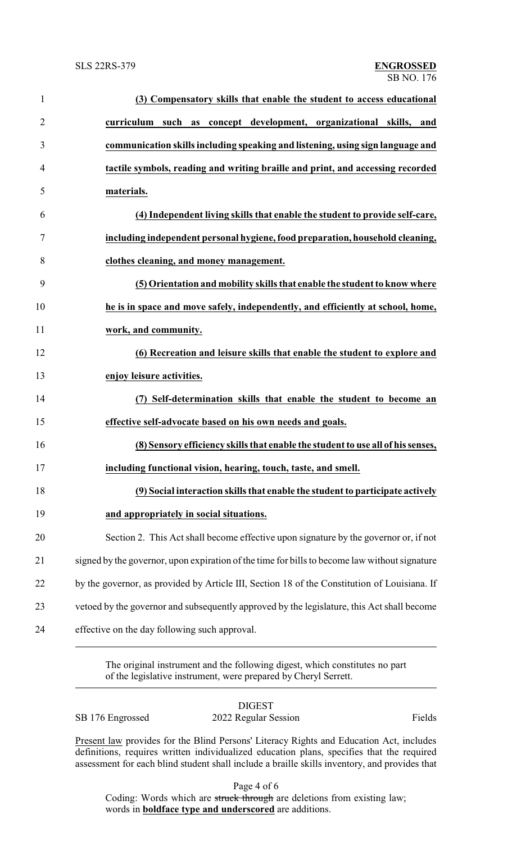| $\mathbf{1}$   | (3) Compensatory skills that enable the student to access educational                         |
|----------------|-----------------------------------------------------------------------------------------------|
| $\overline{2}$ | curriculum such as concept development, organizational skills, and                            |
| 3              | communication skills including speaking and listening, using sign language and                |
| $\overline{4}$ | tactile symbols, reading and writing braille and print, and accessing recorded                |
| 5              | materials.                                                                                    |
| 6              | (4) Independent living skills that enable the student to provide self-care,                   |
| 7              | including independent personal hygiene, food preparation, household cleaning,                 |
| 8              | clothes cleaning, and money management.                                                       |
| 9              | (5) Orientation and mobility skills that enable the student to know where                     |
| 10             | he is in space and move safely, independently, and efficiently at school, home,               |
| 11             | work, and community.                                                                          |
| 12             | (6) Recreation and leisure skills that enable the student to explore and                      |
| 13             | enjoy leisure activities.                                                                     |
| 14             | (7) Self-determination skills that enable the student to become an                            |
| 15             | effective self-advocate based on his own needs and goals.                                     |
| 16             | (8) Sensory efficiency skills that enable the student to use all of his senses,               |
| 17             | including functional vision, hearing, touch, taste, and smell.                                |
| 18             | (9) Social interaction skills that enable the student to participate actively                 |
| 19             | and appropriately in social situations.                                                       |
| 20             | Section 2. This Act shall become effective upon signature by the governor or, if not          |
| 21             | signed by the governor, upon expiration of the time for bills to become law without signature |
| 22             | by the governor, as provided by Article III, Section 18 of the Constitution of Louisiana. If  |
| 23             | vetoed by the governor and subsequently approved by the legislature, this Act shall become    |
| 24             | effective on the day following such approval.                                                 |
|                |                                                                                               |

The original instrument and the following digest, which constitutes no part of the legislative instrument, were prepared by Cheryl Serrett.

| Кì<br>٦., |
|-----------|
|-----------|

SB 176 Engrossed 2022 Regular Session Fields

Present law provides for the Blind Persons' Literacy Rights and Education Act, includes definitions, requires written individualized education plans, specifies that the required assessment for each blind student shall include a braille skills inventory, and provides that

Page 4 of 6

Coding: Words which are struck through are deletions from existing law; words in **boldface type and underscored** are additions.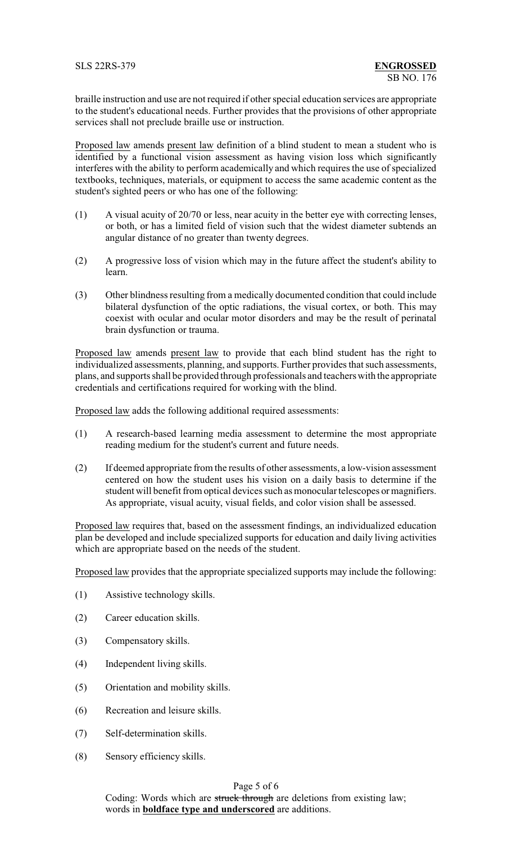braille instruction and use are not required if other special education services are appropriate to the student's educational needs. Further provides that the provisions of other appropriate services shall not preclude braille use or instruction.

Proposed law amends present law definition of a blind student to mean a student who is identified by a functional vision assessment as having vision loss which significantly interferes with the ability to perform academically and which requires the use of specialized textbooks, techniques, materials, or equipment to access the same academic content as the student's sighted peers or who has one of the following:

- (1) A visual acuity of 20/70 or less, near acuity in the better eye with correcting lenses, or both, or has a limited field of vision such that the widest diameter subtends an angular distance of no greater than twenty degrees.
- (2) A progressive loss of vision which may in the future affect the student's ability to learn.
- (3) Other blindness resulting from a medically documented condition that could include bilateral dysfunction of the optic radiations, the visual cortex, or both. This may coexist with ocular and ocular motor disorders and may be the result of perinatal brain dysfunction or trauma.

Proposed law amends present law to provide that each blind student has the right to individualized assessments, planning, and supports. Further provides that such assessments, plans, and supports shall be provided through professionals and teachers with the appropriate credentials and certifications required for working with the blind.

Proposed law adds the following additional required assessments:

- (1) A research-based learning media assessment to determine the most appropriate reading medium for the student's current and future needs.
- (2) If deemed appropriate from the results of other assessments, a low-vision assessment centered on how the student uses his vision on a daily basis to determine if the student will benefit from optical devices such as monocular telescopes or magnifiers. As appropriate, visual acuity, visual fields, and color vision shall be assessed.

Proposed law requires that, based on the assessment findings, an individualized education plan be developed and include specialized supports for education and daily living activities which are appropriate based on the needs of the student.

Proposed law provides that the appropriate specialized supports may include the following:

- (1) Assistive technology skills.
- (2) Career education skills.
- (3) Compensatory skills.
- (4) Independent living skills.
- (5) Orientation and mobility skills.
- (6) Recreation and leisure skills.
- (7) Self-determination skills.
- (8) Sensory efficiency skills.

## Page 5 of 6

Coding: Words which are struck through are deletions from existing law; words in **boldface type and underscored** are additions.